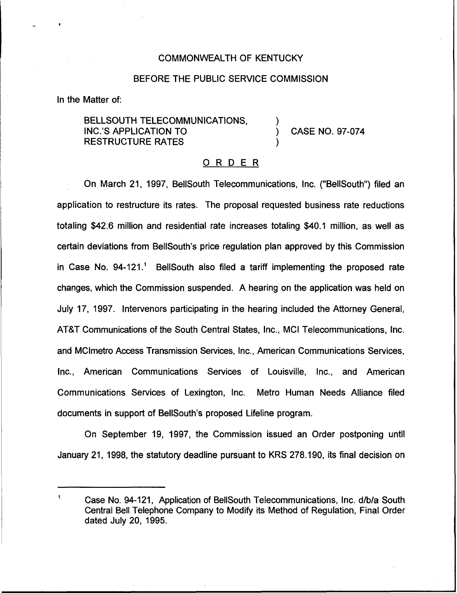## COMMONWEALTH OF KENTUCKY

## BEFORE THE PUBLIC SERVICE COMMISSION

In the Matter of:

BELLSOUTH TELECOMMUNICATIONS, INC.'S APPLICATION TO RESTRUCTURE RATES

) CASE NO. 97-074

)

)

## ORDER

On March 21, 1997, BellSouth Telecommunications, Inc. ("BeIISouth") filed an application to restructure its rates. The proposal requested business rate reductions totaling \$42.6 million and residential rate increases totaling \$40.1 million, as well as certain deviations from BelISouth's price regulation plan approved by this Commission in Case No. 94-121." BellSouth also filed a tariff implementing the proposed rate changes, which the Commission suspended. A hearing on the application was held on July 17, 1997. Intervenors participating in the hearing included the Attorney General, ATBT Communications of the South Central States, Inc., MCI Telecommunications, Inc. and MClmetro Access Transmission Services, Inc., American Communications Services, Inc., American Communications Services of Louisville, Inc., and American Communications Services of Lexington, Inc. Metro Human Needs Alliance filed documents in support of BellSouth's proposed Lifeline program.

On September 19, 1997, the Commission issued an Order postponing until January 21, 1998, the statutory deadline pursuant to KRS 278.190, its final decision on

 $\blacksquare$ Case No. 94-121, Application of BellSouth Telecommunications, Inc. d/b/a South Central Bell Telephone Company to Modify its Method of Regulation, Final Order dated July 20, 1995.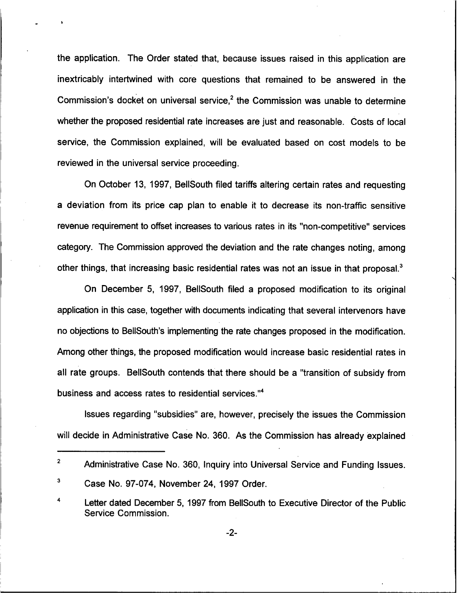the application. The Order stated that, because issues raised in this application are inextricably intertwined with core questions that remained to be answered in the Commission's docket on universal service,<sup>2</sup> the Commission was unable to determine whether the proposed residential rate increases are just and reasonable. Costs of local service, the Commission explained, will be evaluated based on cost models to be reviewed in the universal service proceeding.

On October 13, 1997, BellSouth filed tariffs altering certain rates and requesting a deviation from its price cap plan to enable it to decrease its non-traffic sensitive revenue requirement to offset increases to various rates in its "non-competitive" services category. The Commission approved the deviation and the rate changes noting, among other things, that increasing basic residential rates was not an issue in that proposal.<sup>3</sup>

December 5, 1997, BellSouth filed a proposed modification to its original application in this case, together with documents indicating that several intervenors have no objections to BellSouth's implementing the rate changes proposed in the modification. Among other things, the proposed modification would increase basic residential rates in all rate groups. BellSouth contends that there should be a "transition of subsidy from business and access rates to residential services."

Issues regarding "subsidies" are, however, precisely the issues the Commission will decide in Administrative Case No. 360. As the Commission has already explained

-2-

 $\overline{2}$ Administrative Case No. 360, Inquiry into Universal Service and Funding Issues.

 $\overline{\mathbf{3}}$ Case No. 97-074, November 24, 1997 Order.

Letter dated December 5, 1997 from BellSouth to Executive Director of the Public Service Commission.